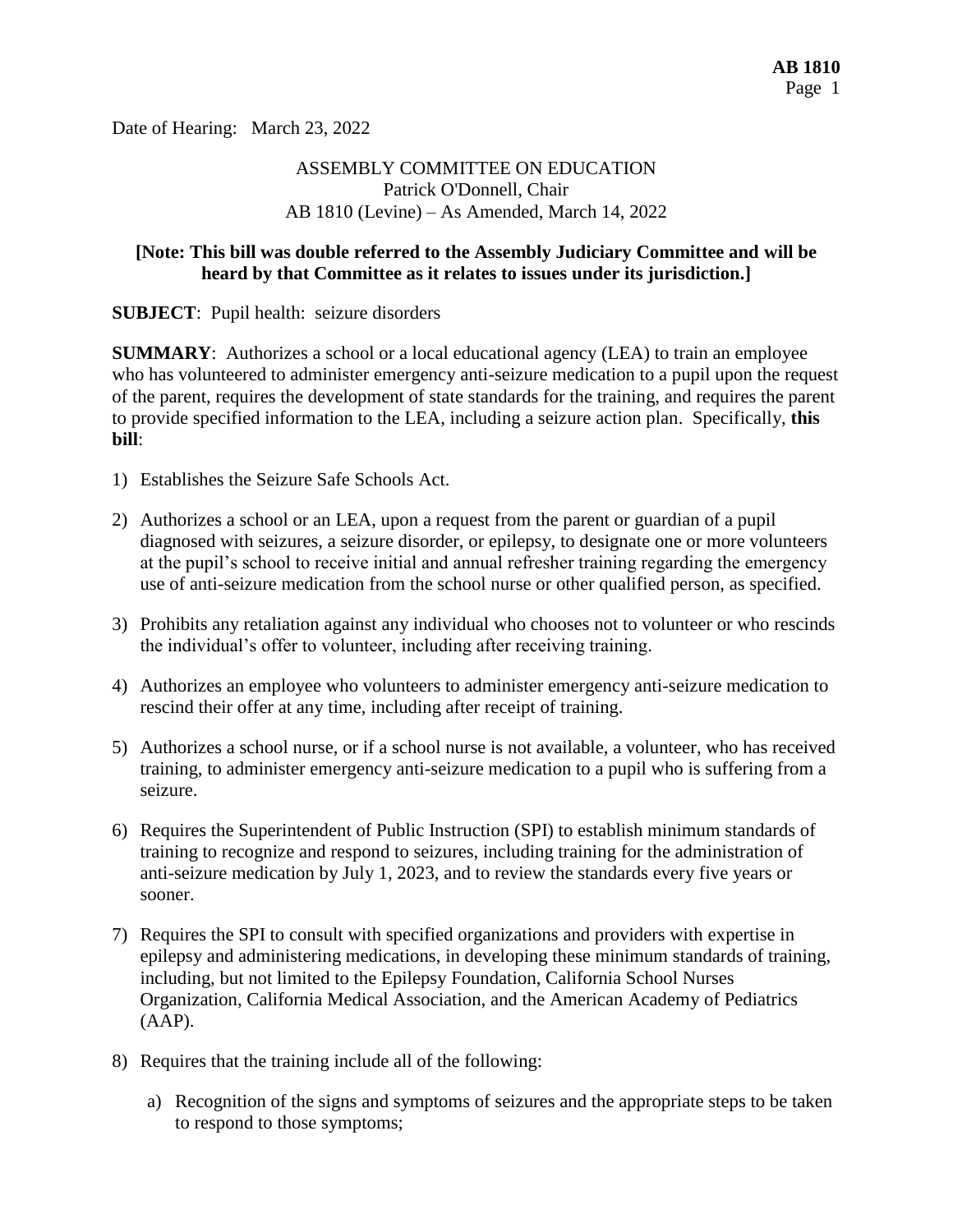Date of Hearing: March 23, 2022

# ASSEMBLY COMMITTEE ON EDUCATION Patrick O'Donnell, Chair AB 1810 (Levine) – As Amended, March 14, 2022

### **[Note: This bill was double referred to the Assembly Judiciary Committee and will be heard by that Committee as it relates to issues under its jurisdiction.]**

**SUBJECT**: Pupil health: seizure disorders

**SUMMARY**: Authorizes a school or a local educational agency (LEA) to train an employee who has volunteered to administer emergency anti-seizure medication to a pupil upon the request of the parent, requires the development of state standards for the training, and requires the parent to provide specified information to the LEA, including a seizure action plan. Specifically, **this bill**:

- 1) Establishes the Seizure Safe Schools Act.
- 2) Authorizes a school or an LEA, upon a request from the parent or guardian of a pupil diagnosed with seizures, a seizure disorder, or epilepsy, to designate one or more volunteers at the pupil's school to receive initial and annual refresher training regarding the emergency use of anti-seizure medication from the school nurse or other qualified person, as specified.
- 3) Prohibits any retaliation against any individual who chooses not to volunteer or who rescinds the individual's offer to volunteer, including after receiving training.
- 4) Authorizes an employee who volunteers to administer emergency anti-seizure medication to rescind their offer at any time, including after receipt of training.
- 5) Authorizes a school nurse, or if a school nurse is not available, a volunteer, who has received training, to administer emergency anti-seizure medication to a pupil who is suffering from a seizure.
- 6) Requires the Superintendent of Public Instruction (SPI) to establish minimum standards of training to recognize and respond to seizures, including training for the administration of anti-seizure medication by July 1, 2023, and to review the standards every five years or sooner.
- 7) Requires the SPI to consult with specified organizations and providers with expertise in epilepsy and administering medications, in developing these minimum standards of training, including, but not limited to the Epilepsy Foundation, California School Nurses Organization, California Medical Association, and the American Academy of Pediatrics (AAP).
- 8) Requires that the training include all of the following:
	- a) Recognition of the signs and symptoms of seizures and the appropriate steps to be taken to respond to those symptoms;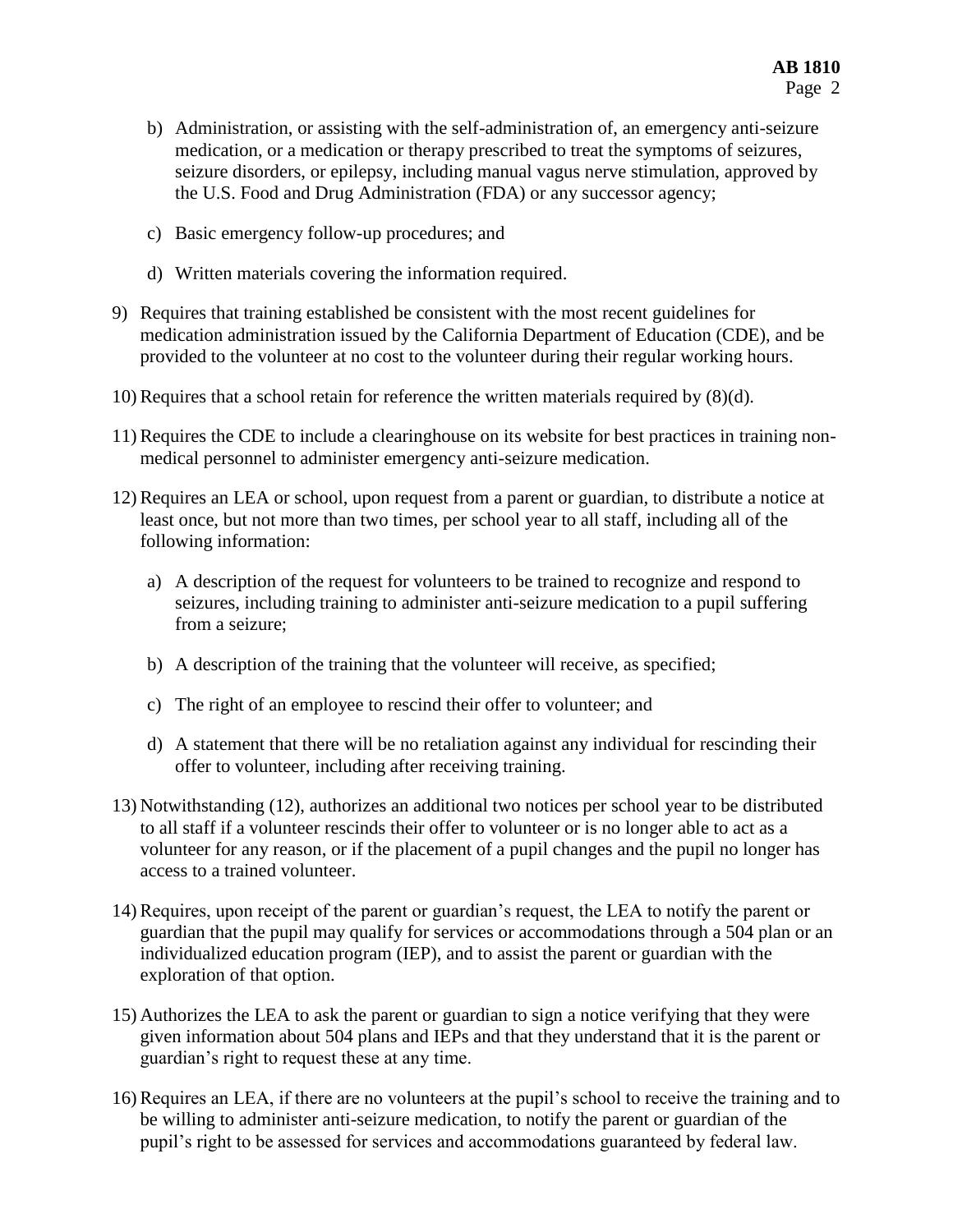- b) Administration, or assisting with the self-administration of, an emergency anti-seizure medication, or a medication or therapy prescribed to treat the symptoms of seizures, seizure disorders, or epilepsy, including manual vagus nerve stimulation, approved by the U.S. Food and Drug Administration (FDA) or any successor agency;
- c) Basic emergency follow-up procedures; and
- d) Written materials covering the information required.
- 9) Requires that training established be consistent with the most recent guidelines for medication administration issued by the California Department of Education (CDE), and be provided to the volunteer at no cost to the volunteer during their regular working hours.
- 10) Requires that a school retain for reference the written materials required by (8)(d).
- 11) Requires the CDE to include a clearinghouse on its website for best practices in training nonmedical personnel to administer emergency anti-seizure medication.
- 12) Requires an LEA or school, upon request from a parent or guardian, to distribute a notice at least once, but not more than two times, per school year to all staff, including all of the following information:
	- a) A description of the request for volunteers to be trained to recognize and respond to seizures, including training to administer anti-seizure medication to a pupil suffering from a seizure;
	- b) A description of the training that the volunteer will receive, as specified;
	- c) The right of an employee to rescind their offer to volunteer; and
	- d) A statement that there will be no retaliation against any individual for rescinding their offer to volunteer, including after receiving training.
- 13) Notwithstanding (12), authorizes an additional two notices per school year to be distributed to all staff if a volunteer rescinds their offer to volunteer or is no longer able to act as a volunteer for any reason, or if the placement of a pupil changes and the pupil no longer has access to a trained volunteer.
- 14) Requires, upon receipt of the parent or guardian's request, the LEA to notify the parent or guardian that the pupil may qualify for services or accommodations through a 504 plan or an individualized education program (IEP), and to assist the parent or guardian with the exploration of that option.
- 15) Authorizes the LEA to ask the parent or guardian to sign a notice verifying that they were given information about 504 plans and IEPs and that they understand that it is the parent or guardian's right to request these at any time.
- 16) Requires an LEA, if there are no volunteers at the pupil's school to receive the training and to be willing to administer anti-seizure medication, to notify the parent or guardian of the pupil's right to be assessed for services and accommodations guaranteed by federal law.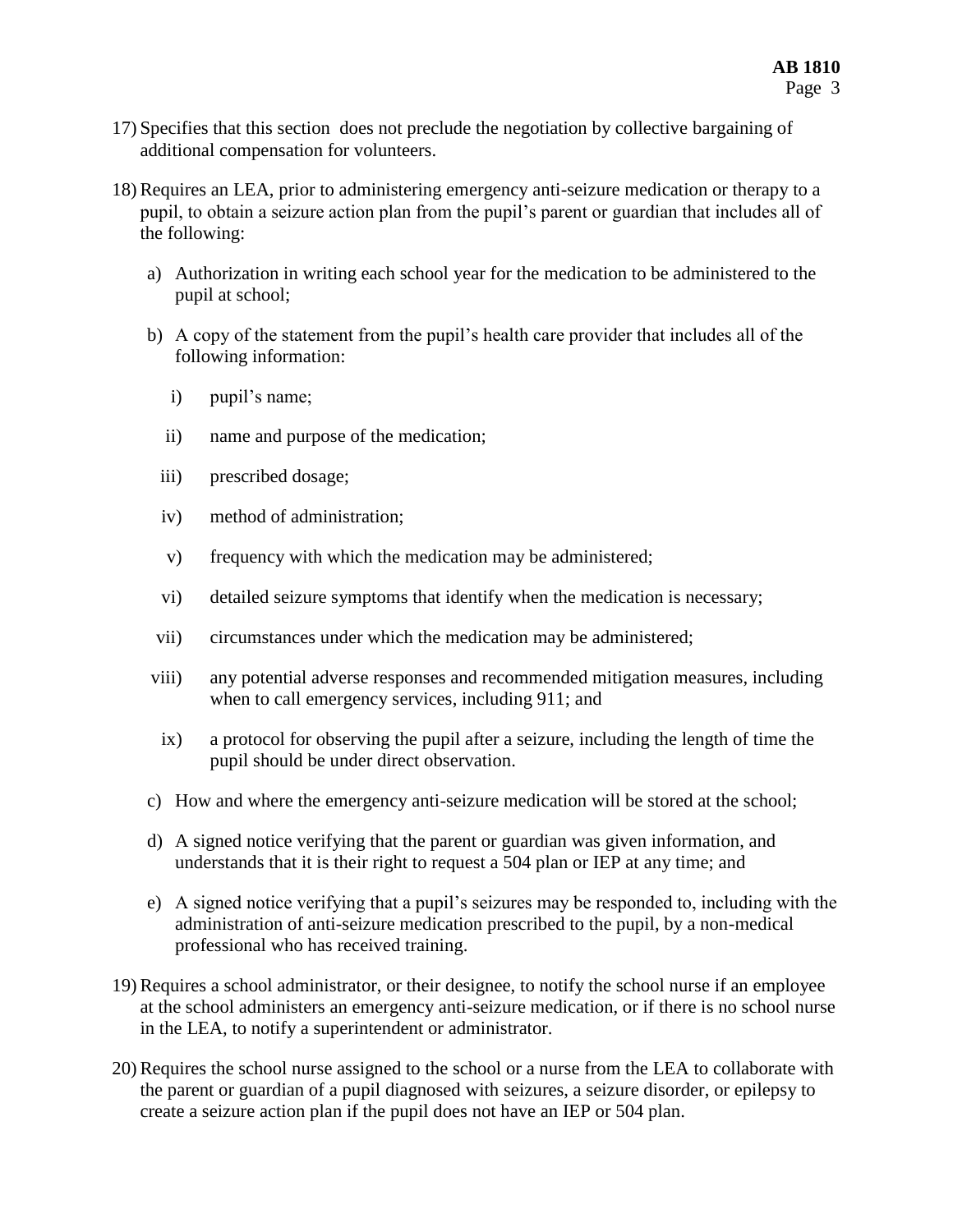- 17) Specifies that this section does not preclude the negotiation by collective bargaining of additional compensation for volunteers.
- 18) Requires an LEA, prior to administering emergency anti-seizure medication or therapy to a pupil, to obtain a seizure action plan from the pupil's parent or guardian that includes all of the following:
	- a) Authorization in writing each school year for the medication to be administered to the pupil at school;
	- b) A copy of the statement from the pupil's health care provider that includes all of the following information:
		- i) pupil's name;
		- ii) name and purpose of the medication;
		- iii) prescribed dosage;
		- iv) method of administration;
		- v) frequency with which the medication may be administered;
		- vi) detailed seizure symptoms that identify when the medication is necessary;
	- vii) circumstances under which the medication may be administered;
	- viii) any potential adverse responses and recommended mitigation measures, including when to call emergency services, including 911; and
	- ix) a protocol for observing the pupil after a seizure, including the length of time the pupil should be under direct observation.
	- c) How and where the emergency anti-seizure medication will be stored at the school;
	- d) A signed notice verifying that the parent or guardian was given information, and understands that it is their right to request a 504 plan or IEP at any time; and
	- e) A signed notice verifying that a pupil's seizures may be responded to, including with the administration of anti-seizure medication prescribed to the pupil, by a non-medical professional who has received training.
- 19) Requires a school administrator, or their designee, to notify the school nurse if an employee at the school administers an emergency anti-seizure medication, or if there is no school nurse in the LEA, to notify a superintendent or administrator.
- 20) Requires the school nurse assigned to the school or a nurse from the LEA to collaborate with the parent or guardian of a pupil diagnosed with seizures, a seizure disorder, or epilepsy to create a seizure action plan if the pupil does not have an IEP or 504 plan.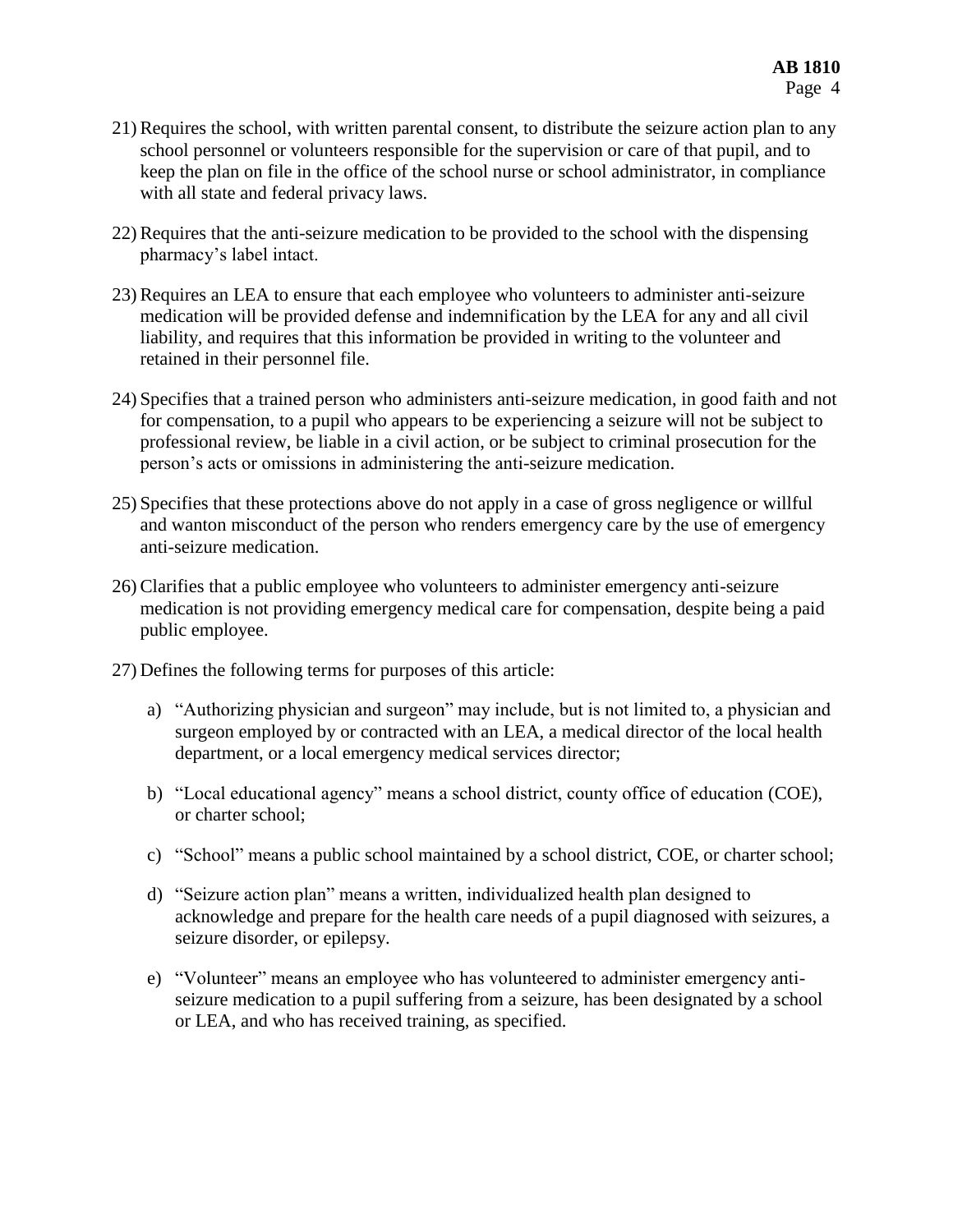- 21) Requires the school, with written parental consent, to distribute the seizure action plan to any school personnel or volunteers responsible for the supervision or care of that pupil, and to keep the plan on file in the office of the school nurse or school administrator, in compliance with all state and federal privacy laws.
- 22) Requires that the anti-seizure medication to be provided to the school with the dispensing pharmacy's label intact.
- 23) Requires an LEA to ensure that each employee who volunteers to administer anti-seizure medication will be provided defense and indemnification by the LEA for any and all civil liability, and requires that this information be provided in writing to the volunteer and retained in their personnel file.
- 24) Specifies that a trained person who administers anti-seizure medication, in good faith and not for compensation, to a pupil who appears to be experiencing a seizure will not be subject to professional review, be liable in a civil action, or be subject to criminal prosecution for the person's acts or omissions in administering the anti-seizure medication.
- 25) Specifies that these protections above do not apply in a case of gross negligence or willful and wanton misconduct of the person who renders emergency care by the use of emergency anti-seizure medication.
- 26) Clarifies that a public employee who volunteers to administer emergency anti-seizure medication is not providing emergency medical care for compensation, despite being a paid public employee.
- 27) Defines the following terms for purposes of this article:
	- a) "Authorizing physician and surgeon" may include, but is not limited to, a physician and surgeon employed by or contracted with an LEA, a medical director of the local health department, or a local emergency medical services director;
	- b) "Local educational agency" means a school district, county office of education (COE), or charter school;
	- c) "School" means a public school maintained by a school district, COE, or charter school;
	- d) "Seizure action plan" means a written, individualized health plan designed to acknowledge and prepare for the health care needs of a pupil diagnosed with seizures, a seizure disorder, or epilepsy.
	- e) "Volunteer" means an employee who has volunteered to administer emergency antiseizure medication to a pupil suffering from a seizure, has been designated by a school or LEA, and who has received training, as specified.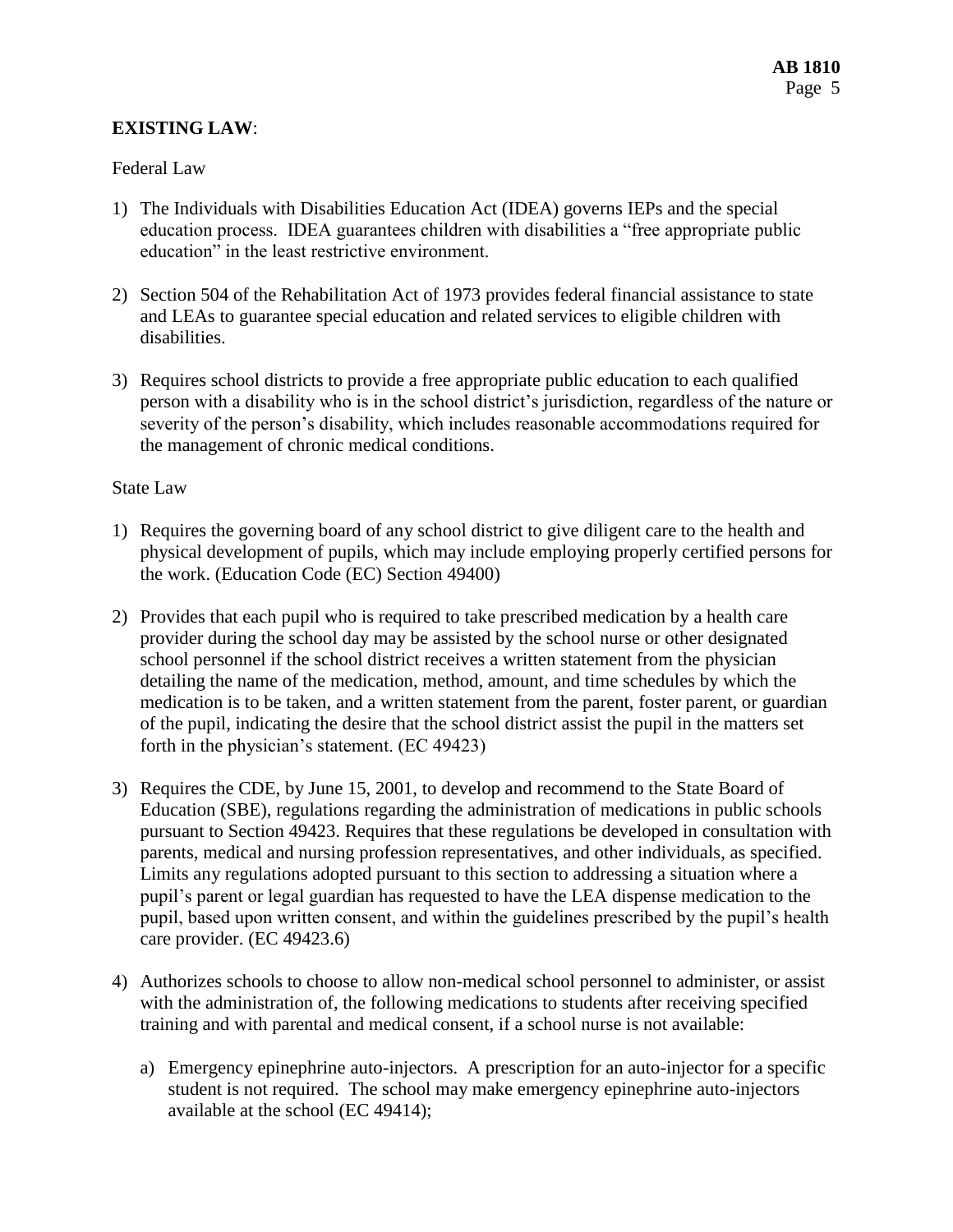# **EXISTING LAW**:

#### Federal Law

- 1) The Individuals with Disabilities Education Act (IDEA) governs IEPs and the special education process. IDEA guarantees children with disabilities a "free appropriate public education" in the least restrictive environment.
- 2) Section 504 of the Rehabilitation Act of 1973 provides federal financial assistance to state and LEAs to guarantee special education and related services to eligible children with disabilities.
- 3) Requires school districts to provide a free appropriate public education to each qualified person with a disability who is in the school district's jurisdiction, regardless of the nature or severity of the person's disability, which includes reasonable accommodations required for the management of chronic medical conditions.

#### State Law

- 1) Requires the governing board of any school district to give diligent care to the health and physical development of pupils, which may include employing properly certified persons for the work. (Education Code (EC) Section 49400)
- 2) Provides that each pupil who is required to take prescribed medication by a health care provider during the school day may be assisted by the school nurse or other designated school personnel if the school district receives a written statement from the physician detailing the name of the medication, method, amount, and time schedules by which the medication is to be taken, and a written statement from the parent, foster parent, or guardian of the pupil, indicating the desire that the school district assist the pupil in the matters set forth in the physician's statement. (EC 49423)
- 3) Requires the CDE, by June 15, 2001, to develop and recommend to the State Board of Education (SBE), regulations regarding the administration of medications in public schools pursuant to Section 49423. Requires that these regulations be developed in consultation with parents, medical and nursing profession representatives, and other individuals, as specified. Limits any regulations adopted pursuant to this section to addressing a situation where a pupil's parent or legal guardian has requested to have the LEA dispense medication to the pupil, based upon written consent, and within the guidelines prescribed by the pupil's health care provider. (EC 49423.6)
- 4) Authorizes schools to choose to allow non-medical school personnel to administer, or assist with the administration of, the following medications to students after receiving specified training and with parental and medical consent, if a school nurse is not available:
	- a) Emergency epinephrine auto-injectors. A prescription for an auto-injector for a specific student is not required. The school may make emergency epinephrine auto-injectors available at the school (EC 49414);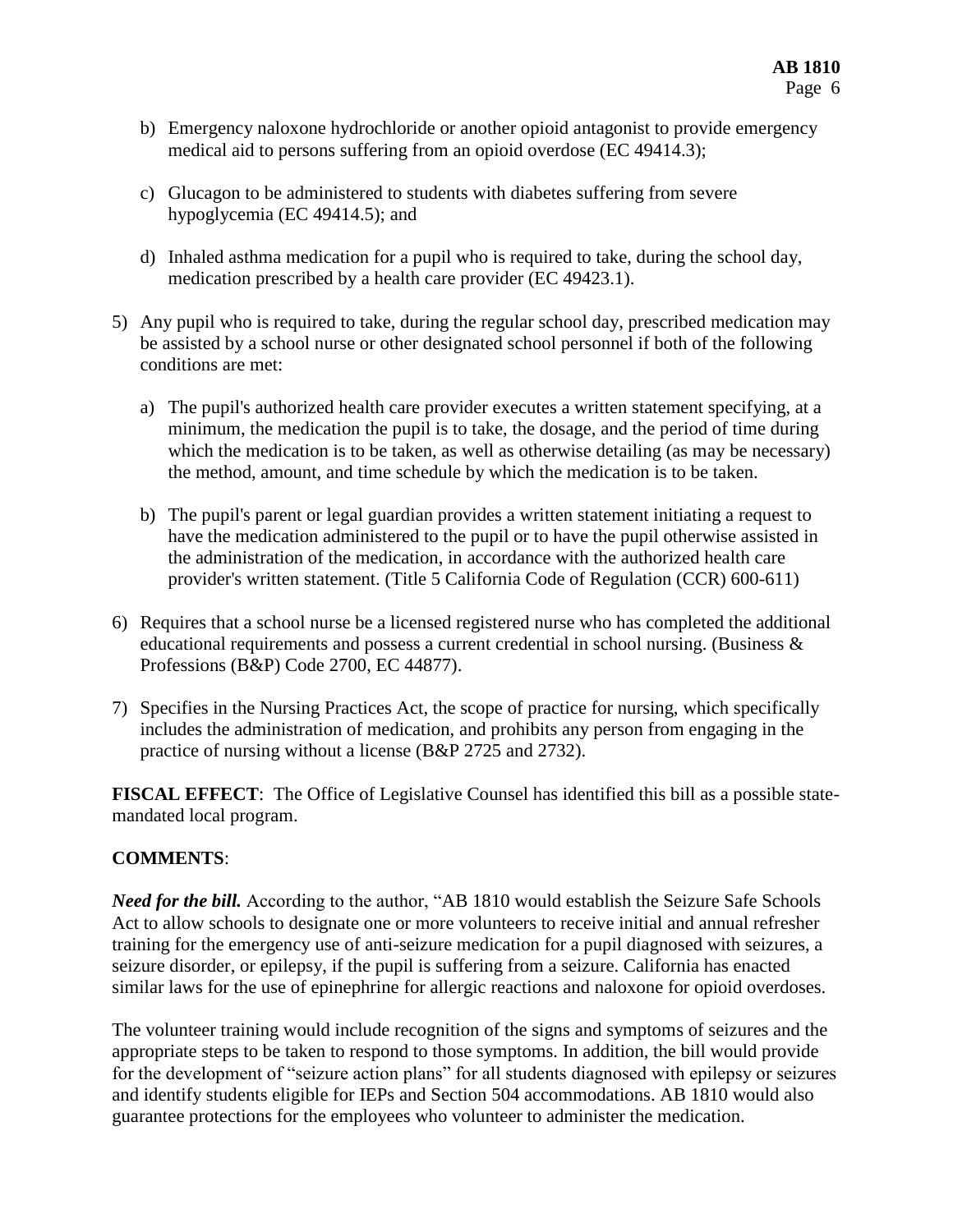- b) Emergency naloxone hydrochloride or another opioid antagonist to provide emergency medical aid to persons suffering from an opioid overdose (EC 49414.3);
- c) Glucagon to be administered to students with diabetes suffering from severe hypoglycemia (EC 49414.5); and
- d) Inhaled asthma medication for a pupil who is required to take, during the school day, medication prescribed by a health care provider (EC 49423.1).
- 5) Any pupil who is required to take, during the regular school day, prescribed medication may be assisted by a school nurse or other designated school personnel if both of the following conditions are met:
	- a) The pupil's authorized health care provider executes a written statement specifying, at a minimum, the medication the pupil is to take, the dosage, and the period of time during which the medication is to be taken, as well as otherwise detailing (as may be necessary) the method, amount, and time schedule by which the medication is to be taken.
	- b) The pupil's parent or legal guardian provides a written statement initiating a request to have the medication administered to the pupil or to have the pupil otherwise assisted in the administration of the medication, in accordance with the authorized health care provider's written statement. (Title 5 California Code of Regulation (CCR) 600-611)
- 6) Requires that a school nurse be a licensed registered nurse who has completed the additional educational requirements and possess a current credential in school nursing. (Business & Professions (B&P) Code 2700, EC 44877).
- 7) Specifies in the Nursing Practices Act, the scope of practice for nursing, which specifically includes the administration of medication, and prohibits any person from engaging in the practice of nursing without a license (B&P 2725 and 2732).

**FISCAL EFFECT**: The Office of Legislative Counsel has identified this bill as a possible statemandated local program.

# **COMMENTS**:

*Need for the bill.* According to the author, "AB 1810 would establish the Seizure Safe Schools Act to allow schools to designate one or more volunteers to receive initial and annual refresher training for the emergency use of anti-seizure medication for a pupil diagnosed with seizures, a seizure disorder, or epilepsy, if the pupil is suffering from a seizure. California has enacted similar laws for the use of epinephrine for allergic reactions and naloxone for opioid overdoses.

The volunteer training would include recognition of the signs and symptoms of seizures and the appropriate steps to be taken to respond to those symptoms. In addition, the bill would provide for the development of "seizure action plans" for all students diagnosed with epilepsy or seizures and identify students eligible for IEPs and Section 504 accommodations. AB 1810 would also guarantee protections for the employees who volunteer to administer the medication.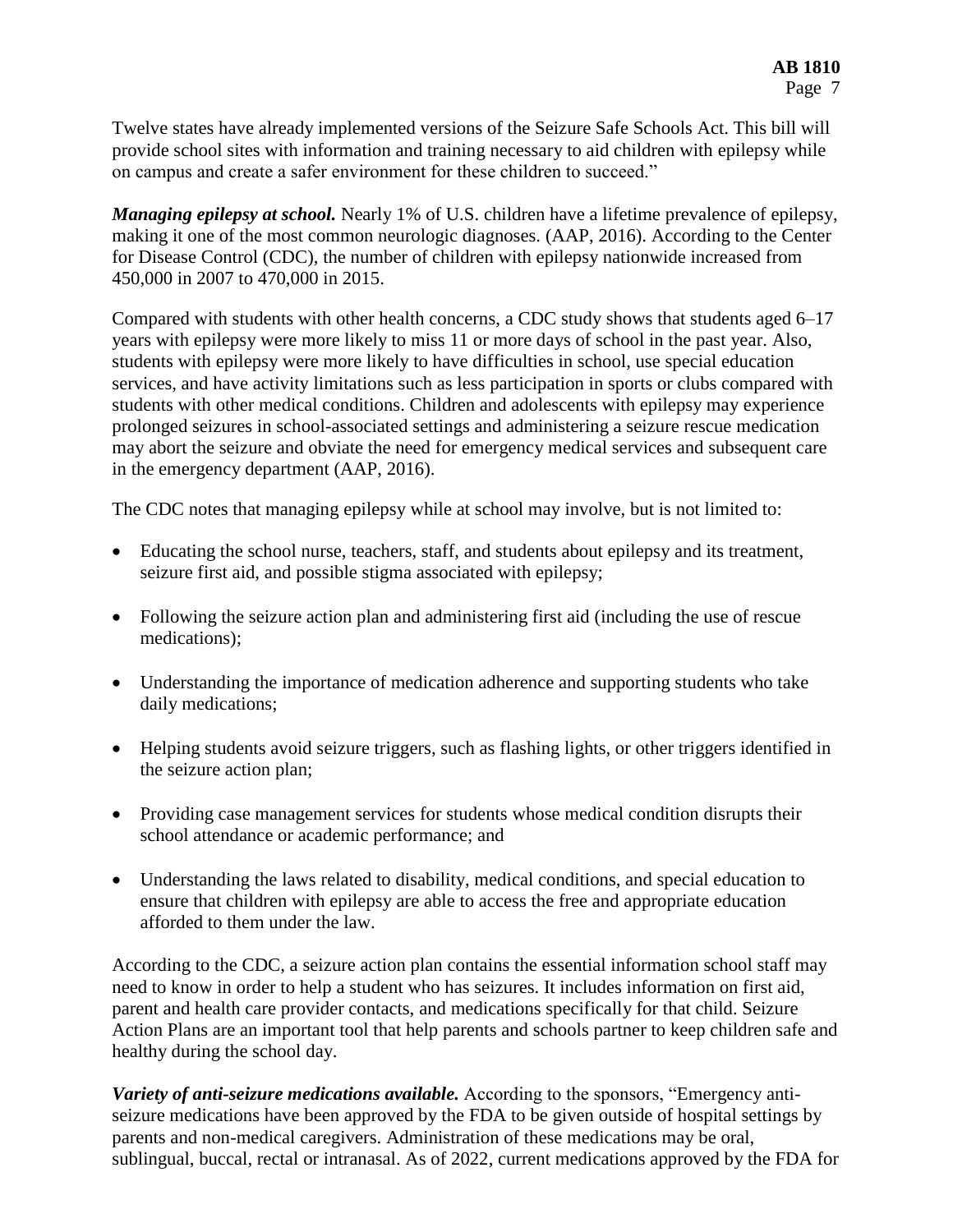Twelve states have already implemented versions of the Seizure Safe Schools Act. This bill will provide school sites with information and training necessary to aid children with epilepsy while on campus and create a safer environment for these children to succeed."

*Managing epilepsy at school.* Nearly 1% of U.S. children have a lifetime prevalence of epilepsy, making it one of the most common neurologic diagnoses. (AAP, 2016). According to the Center for Disease Control (CDC), the number of children with epilepsy nationwide increased from 450,000 in 2007 to 470,000 in 2015.

Compared with students with other health concerns, a CDC study shows that students aged 6–17 years with epilepsy were more likely to miss 11 or more days of school in the past year. Also, students with epilepsy were more likely to have difficulties in school, use special education services, and have activity limitations such as less participation in sports or clubs compared with students with other medical conditions. Children and adolescents with epilepsy may experience prolonged seizures in school-associated settings and administering a seizure rescue medication may abort the seizure and obviate the need for emergency medical services and subsequent care in the emergency department (AAP, 2016).

The CDC notes that managing epilepsy while at school may involve, but is not limited to:

- Educating the school nurse, teachers, staff, and students about epilepsy and its treatment, seizure first aid, and possible stigma associated with epilepsy;
- Following the seizure action plan and administering first aid (including the use of rescue medications);
- Understanding the importance of medication adherence and supporting students who take daily medications;
- Helping students avoid seizure triggers, such as flashing lights, or other triggers identified in the seizure action plan;
- Providing case management services for students whose medical condition disrupts their school attendance or academic performance; and
- Understanding the laws related to disability, medical conditions, and special education to ensure that children with epilepsy are able to access the free and appropriate education afforded to them under the law.

According to the CDC, a seizure action plan contains the essential information school staff may need to know in order to help a student who has seizures. It includes information on first aid, parent and health care provider contacts, and medications specifically for that child. Seizure Action Plans are an important tool that help parents and schools partner to keep children safe and healthy during the school day.

*Variety of anti-seizure medications available.* According to the sponsors, "Emergency antiseizure medications have been approved by the FDA to be given outside of hospital settings by parents and non-medical caregivers. Administration of these medications may be oral, sublingual, buccal, rectal or intranasal. As of 2022, current medications approved by the FDA for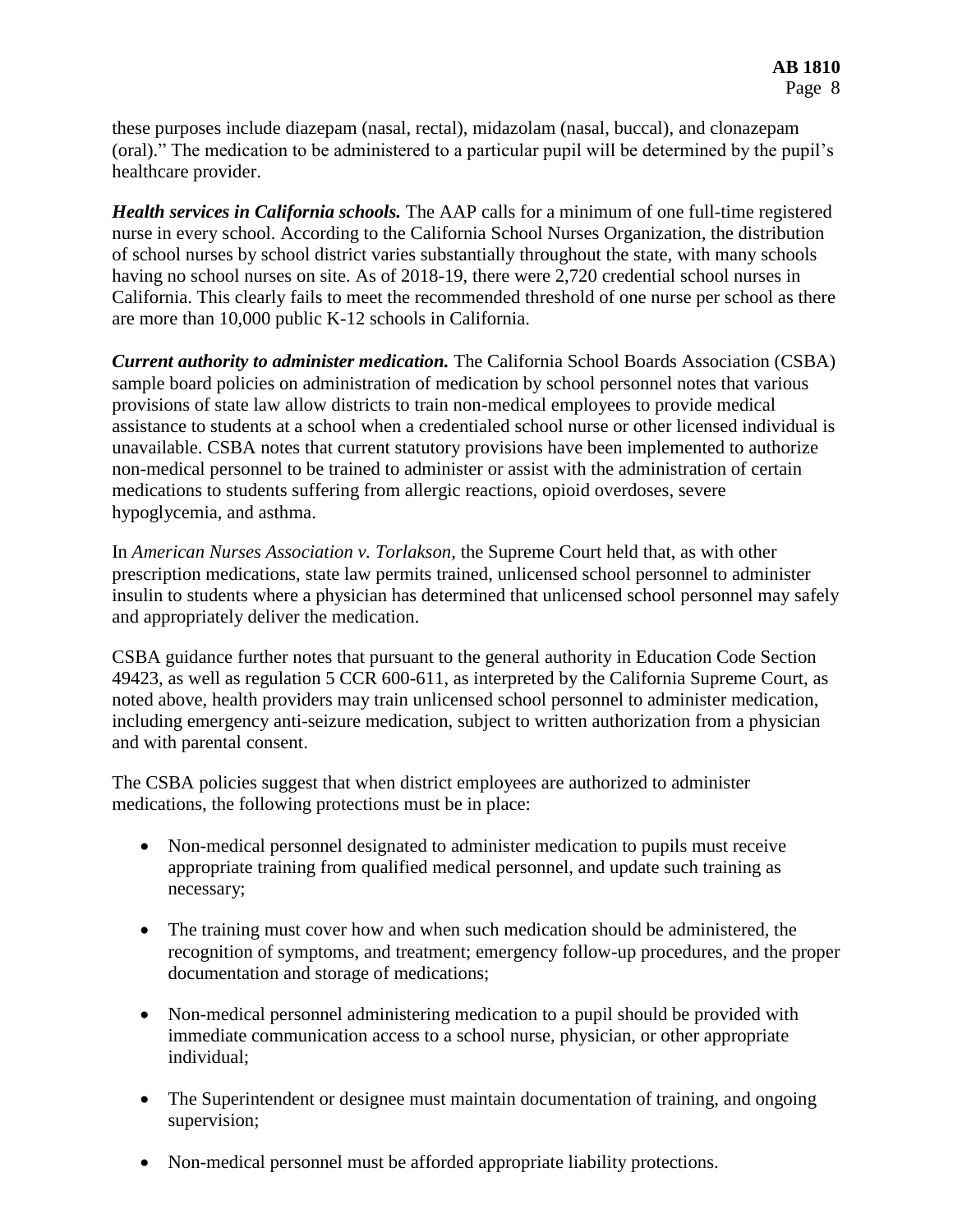these purposes include diazepam (nasal, rectal), midazolam (nasal, buccal), and clonazepam (oral)." The medication to be administered to a particular pupil will be determined by the pupil's healthcare provider.

*Health services in California schools.* The AAP calls for a minimum of one full-time registered nurse in every school. According to the California School Nurses Organization, the distribution of school nurses by school district varies substantially throughout the state, with many schools having no school nurses on site. As of 2018-19, there were 2,720 credential school nurses in California. This clearly fails to meet the recommended threshold of one nurse per school as there are more than 10,000 public K-12 schools in California.

*Current authority to administer medication.* The California School Boards Association (CSBA) sample board policies on administration of medication by school personnel notes that various provisions of state law allow districts to train non-medical employees to provide medical assistance to students at a school when a credentialed school nurse or other licensed individual is unavailable. CSBA notes that current statutory provisions have been implemented to authorize non-medical personnel to be trained to administer or assist with the administration of certain medications to students suffering from allergic reactions, opioid overdoses, severe hypoglycemia, and asthma.

In *American Nurses Association v. Torlakson,* the Supreme Court held that, as with other prescription medications, state law permits trained, unlicensed school personnel to administer insulin to students where a physician has determined that unlicensed school personnel may safely and appropriately deliver the medication.

CSBA guidance further notes that pursuant to the general authority in Education Code Section 49423, as well as regulation 5 CCR 600-611, as interpreted by the California Supreme Court, as noted above, health providers may train unlicensed school personnel to administer medication, including emergency anti-seizure medication, subject to written authorization from a physician and with parental consent.

The CSBA policies suggest that when district employees are authorized to administer medications, the following protections must be in place:

- Non-medical personnel designated to administer medication to pupils must receive appropriate training from qualified medical personnel, and update such training as necessary;
- The training must cover how and when such medication should be administered, the recognition of symptoms, and treatment; emergency follow-up procedures, and the proper documentation and storage of medications;
- Non-medical personnel administering medication to a pupil should be provided with immediate communication access to a school nurse, physician, or other appropriate individual;
- The Superintendent or designee must maintain documentation of training, and ongoing supervision;
- Non-medical personnel must be afforded appropriate liability protections.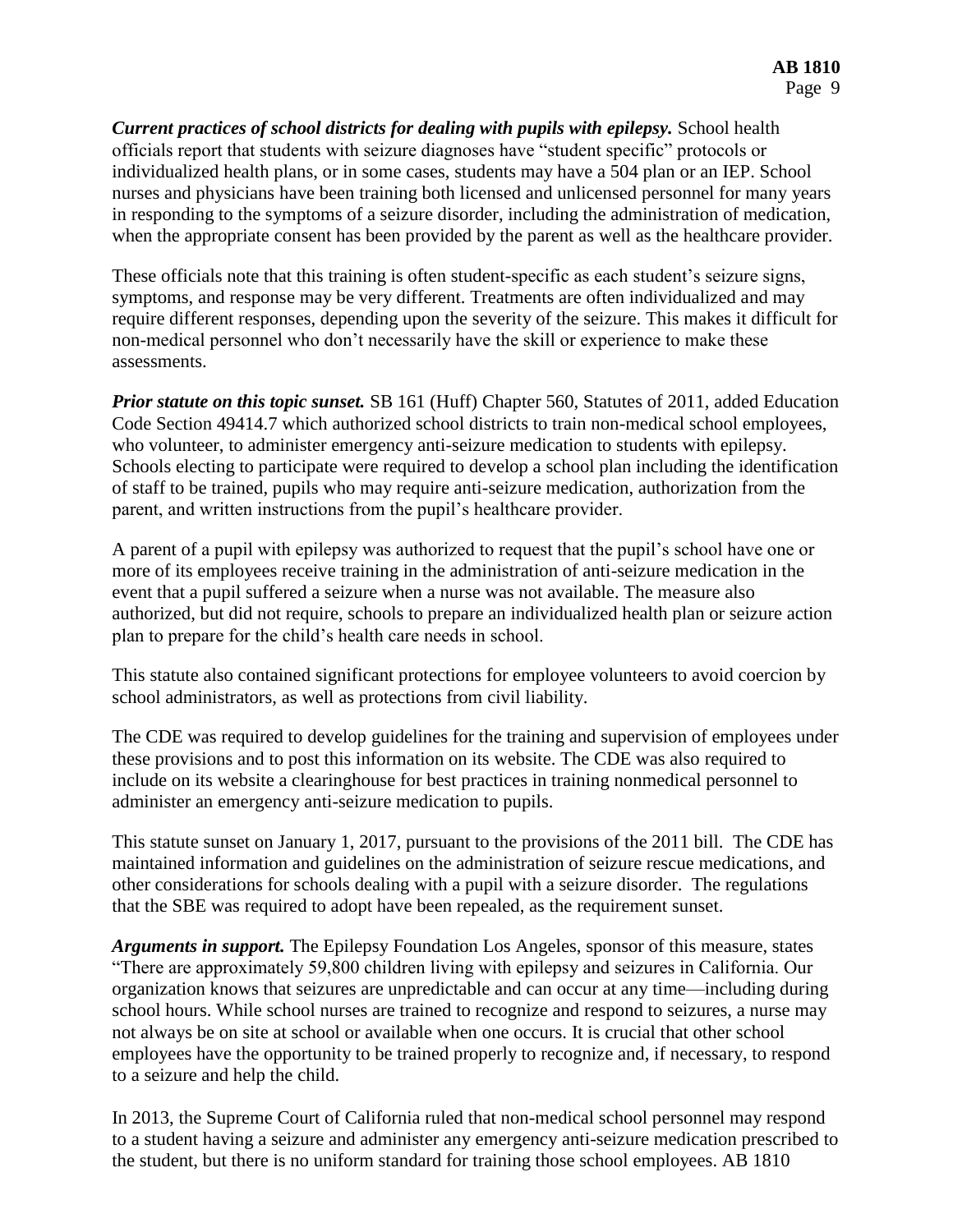*Current practices of school districts for dealing with pupils with epilepsy.* School health officials report that students with seizure diagnoses have "student specific" protocols or individualized health plans, or in some cases, students may have a 504 plan or an IEP. School nurses and physicians have been training both licensed and unlicensed personnel for many years in responding to the symptoms of a seizure disorder, including the administration of medication, when the appropriate consent has been provided by the parent as well as the healthcare provider.

These officials note that this training is often student-specific as each student's seizure signs, symptoms, and response may be very different. Treatments are often individualized and may require different responses, depending upon the severity of the seizure. This makes it difficult for non-medical personnel who don't necessarily have the skill or experience to make these assessments.

*Prior statute on this topic sunset.* SB 161 (Huff) Chapter 560, Statutes of 2011, added Education Code Section 49414.7 which authorized school districts to train non-medical school employees, who volunteer, to administer emergency anti-seizure medication to students with epilepsy. Schools electing to participate were required to develop a school plan including the identification of staff to be trained, pupils who may require anti-seizure medication, authorization from the parent, and written instructions from the pupil's healthcare provider.

A parent of a pupil with epilepsy was authorized to request that the pupil's school have one or more of its employees receive training in the administration of anti-seizure medication in the event that a pupil suffered a seizure when a nurse was not available. The measure also authorized, but did not require, schools to prepare an individualized health plan or seizure action plan to prepare for the child's health care needs in school.

This statute also contained significant protections for employee volunteers to avoid coercion by school administrators, as well as protections from civil liability.

The CDE was required to develop guidelines for the training and supervision of employees under these provisions and to post this information on its website. The CDE was also required to include on its website a clearinghouse for best practices in training nonmedical personnel to administer an emergency anti-seizure medication to pupils.

This statute sunset on January 1, 2017, pursuant to the provisions of the 2011 bill. The CDE has maintained information and guidelines on the administration of seizure rescue medications, and other considerations for schools dealing with a pupil with a seizure disorder. The regulations that the SBE was required to adopt have been repealed, as the requirement sunset.

*Arguments in support.* The Epilepsy Foundation Los Angeles, sponsor of this measure, states "There are approximately 59,800 children living with epilepsy and seizures in California. Our organization knows that seizures are unpredictable and can occur at any time—including during school hours. While school nurses are trained to recognize and respond to seizures, a nurse may not always be on site at school or available when one occurs. It is crucial that other school employees have the opportunity to be trained properly to recognize and, if necessary, to respond to a seizure and help the child.

In 2013, the Supreme Court of California ruled that non-medical school personnel may respond to a student having a seizure and administer any emergency anti-seizure medication prescribed to the student, but there is no uniform standard for training those school employees. AB 1810